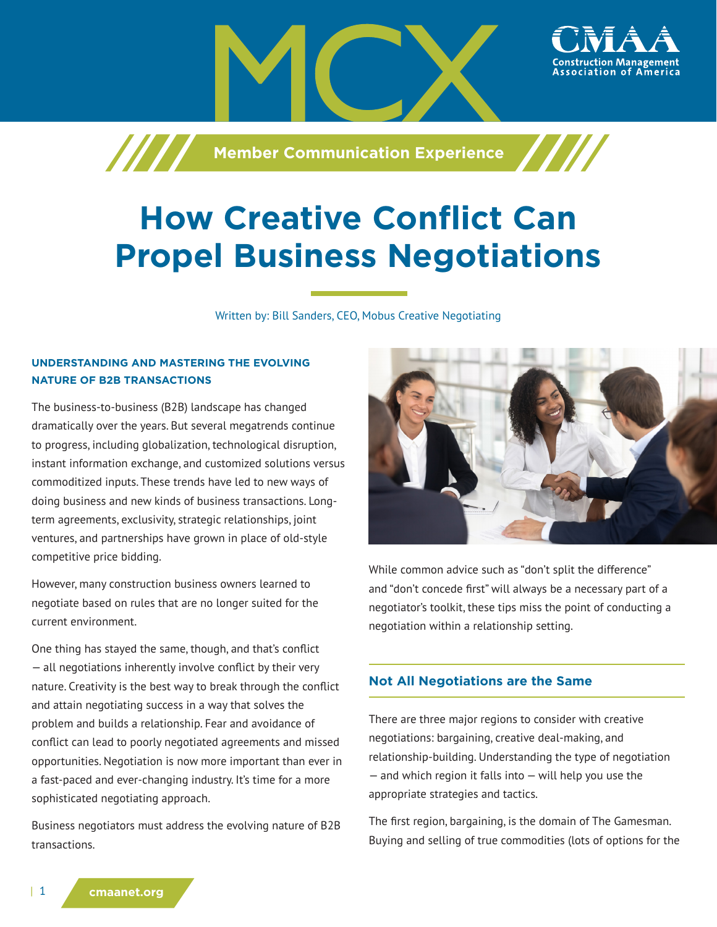

# **How Creative Conflict Can Propel Business Negotiations**

Written by: Bill Sanders, CEO, Mobus Creative Negotiating

## **UNDERSTANDING AND MASTERING THE EVOLVING NATURE OF B2B TRANSACTIONS**

The business-to-business (B2B) landscape has changed dramatically over the years. But several megatrends continue to progress, including globalization, technological disruption, instant information exchange, and customized solutions versus commoditized inputs. These trends have led to new ways of doing business and new kinds of business transactions. Longterm agreements, exclusivity, strategic relationships, joint ventures, and partnerships have grown in place of old-style competitive price bidding.

However, many construction business owners learned to negotiate based on rules that are no longer suited for the current environment.

One thing has stayed the same, though, and that's conflict — all negotiations inherently involve conflict by their very nature. Creativity is the best way to break through the conflict and attain negotiating success in a way that solves the problem and builds a relationship. Fear and avoidance of conflict can lead to poorly negotiated agreements and missed opportunities. Negotiation is now more important than ever in a fast-paced and ever-changing industry. It's time for a more sophisticated negotiating approach.

Business negotiators must address the evolving nature of B2B transactions.



While common advice such as "don't split the difference" and "don't concede first" will always be a necessary part of a negotiator's toolkit, these tips miss the point of conducting a negotiation within a relationship setting.

## **Not All Negotiations are the Same**

There are three major regions to consider with creative negotiations: bargaining, creative deal-making, and relationship-building. Understanding the type of negotiation  $-$  and which region it falls into  $-$  will help you use the appropriate strategies and tactics.

The first region, bargaining, is the domain of The Gamesman. Buying and selling of true commodities (lots of options for the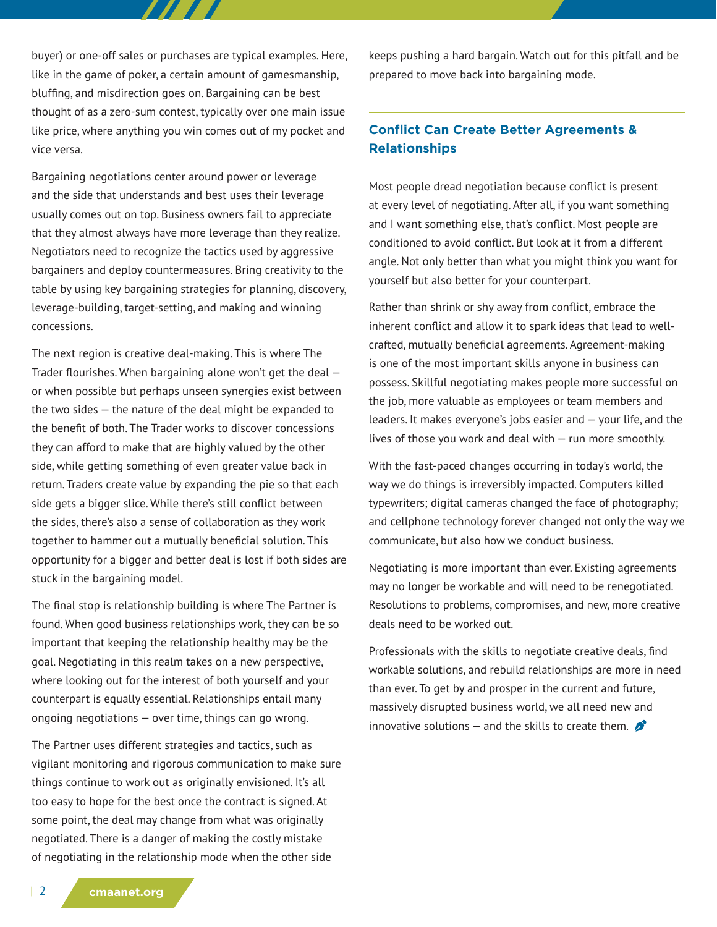buyer) or one-off sales or purchases are typical examples. Here, like in the game of poker, a certain amount of gamesmanship, bluffing, and misdirection goes on. Bargaining can be best thought of as a zero-sum contest, typically over one main issue like price, where anything you win comes out of my pocket and vice versa.

7 7 7 7 7

Bargaining negotiations center around power or leverage and the side that understands and best uses their leverage usually comes out on top. Business owners fail to appreciate that they almost always have more leverage than they realize. Negotiators need to recognize the tactics used by aggressive bargainers and deploy countermeasures. Bring creativity to the table by using key bargaining strategies for planning, discovery, leverage-building, target-setting, and making and winning concessions.

The next region is creative deal-making. This is where The Trader flourishes. When bargaining alone won't get the deal or when possible but perhaps unseen synergies exist between the two sides — the nature of the deal might be expanded to the benefit of both. The Trader works to discover concessions they can afford to make that are highly valued by the other side, while getting something of even greater value back in return. Traders create value by expanding the pie so that each side gets a bigger slice. While there's still conflict between the sides, there's also a sense of collaboration as they work together to hammer out a mutually beneficial solution. This opportunity for a bigger and better deal is lost if both sides are stuck in the bargaining model.

The final stop is relationship building is where The Partner is found. When good business relationships work, they can be so important that keeping the relationship healthy may be the goal. Negotiating in this realm takes on a new perspective, where looking out for the interest of both yourself and your counterpart is equally essential. Relationships entail many ongoing negotiations — over time, things can go wrong.

The Partner uses different strategies and tactics, such as vigilant monitoring and rigorous communication to make sure things continue to work out as originally envisioned. It's all too easy to hope for the best once the contract is signed. At some point, the deal may change from what was originally negotiated. There is a danger of making the costly mistake of negotiating in the relationship mode when the other side

keeps pushing a hard bargain. Watch out for this pitfall and be prepared to move back into bargaining mode.

# **Conflict Can Create Better Agreements & Relationships**

Most people dread negotiation because conflict is present at every level of negotiating. After all, if you want something and I want something else, that's conflict. Most people are conditioned to avoid conflict. But look at it from a different angle. Not only better than what you might think you want for yourself but also better for your counterpart.

Rather than shrink or shy away from conflict, embrace the inherent conflict and allow it to spark ideas that lead to wellcrafted, mutually beneficial agreements. Agreement-making is one of the most important skills anyone in business can possess. Skillful negotiating makes people more successful on the job, more valuable as employees or team members and leaders. It makes everyone's jobs easier and — your life, and the lives of those you work and deal with — run more smoothly.

With the fast-paced changes occurring in today's world, the way we do things is irreversibly impacted. Computers killed typewriters; digital cameras changed the face of photography; and cellphone technology forever changed not only the way we communicate, but also how we conduct business.

Negotiating is more important than ever. Existing agreements may no longer be workable and will need to be renegotiated. Resolutions to problems, compromises, and new, more creative deals need to be worked out.

Professionals with the skills to negotiate creative deals, find workable solutions, and rebuild relationships are more in need than ever. To get by and prosper in the current and future, massively disrupted business world, we all need new and innovative solutions – and the skills to create them.  $\bullet$